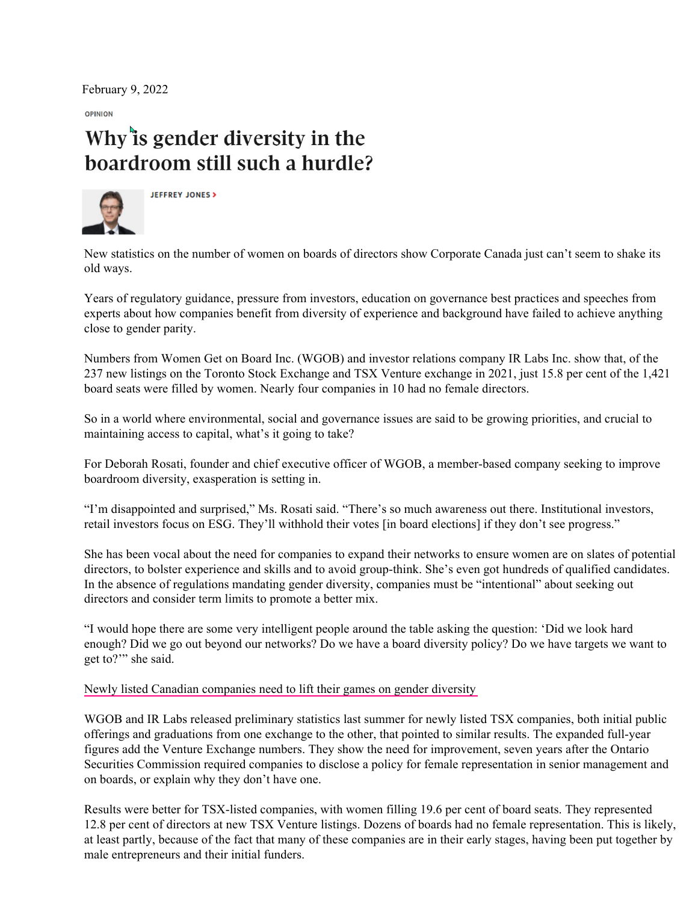February 9, 2022

OPINION

## Why'ts gender diversity in the boardroom still such a hurdle?



**JEFFREY JONES >** 

New statistics on the number of women on boards of directors show Corporate Canada just can't seem to shake its old ways.

Years of regulatory guidance, pressure from investors, education on governance best practices and speeches from experts about how companies benefit from diversity of experience and background have failed to achieve anything close to gender parity.

Numbers from Women Get on Board Inc. (WGOB) and investor relations company IR Labs Inc. show that, of the 237 new listings on the Toronto Stock Exchange and TSX Venture exchange in 2021, just 15.8 per cent of the 1,421 board seats were filled by women. Nearly four companies in 10 had no female directors.

So in a world where environmental, social and governance issues are said to be growing priorities, and crucial to maintaining access to capital, what's it going to take?

For Deborah Rosati, founder and chief executive officer of WGOB, a member-based company seeking to improve boardroom diversity, exasperation is setting in.

"I'm disappointed and surprised," Ms. Rosati said. "There's so much awareness out there. Institutional investors, retail investors focus on ESG. They'll withhold their votes [in board elections] if they don't see progress."

She has been vocal about the need for companies to expand their networks to ensure women are on slates of potential directors, to bolster experience and skills and to avoid group-think. She's even got hundreds of qualified candidates. In the absence of regulations mandating gender diversity, companies must be "intentional" about seeking out directors and consider term limits to promote a better mix.

"I would hope there are some very intelligent people around the table asking the question: 'Did we look hard enough? Did we go out beyond our networks? Do we have a board diversity policy? Do we have targets we want to get to?'" she said.

[Newly listed Canadian companies need to lift their games on gender diversity](https://womengetonboard.ca/wp-content/uploads/2021/08/Globe-and-Mail-August-16-2021-WGOB-and-irlabs-research-of-TSX-newlistings.pdf)

WGOB and IR Labs released preliminary statistics last summer for newly listed TSX companies, both initial public offerings and graduations from one exchange to the other, that pointed to similar results. The expanded full-year figures add the Venture Exchange numbers. They show the need for improvement, seven years after the Ontario Securities Commission required companies to disclose a policy for female representation in senior management and on boards, or explain why they don't have one.

Results were better for TSX-listed companies, with women filling 19.6 per cent of board seats. They represented 12.8 per cent of directors at new TSX Venture listings. Dozens of boards had no female representation. This is likely, at least partly, because of the fact that many of these companies are in their early stages, having been put together by male entrepreneurs and their initial funders.